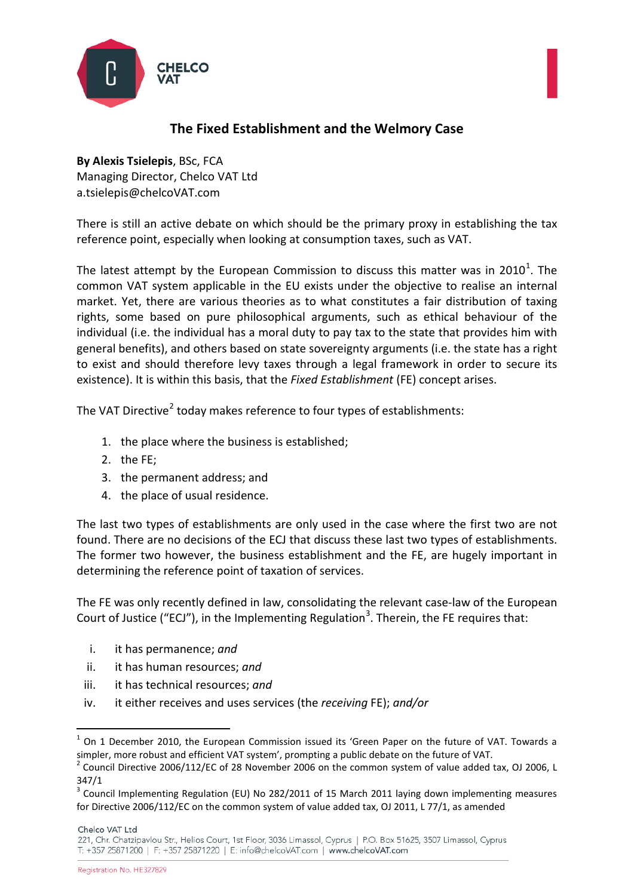



## **By Alexis Tsielepis**, BSc, FCA Managing Director, Chelco VAT Ltd a.tsielepis@chelcoVAT.com

There is still an active debate on which should be the primary proxy in establishing the tax reference point, especially when looking at consumption taxes, such as VAT.

The latest attempt by the European Commission to discuss this matter was in 20[1](#page-0-0)0<sup>1</sup>. The common VAT system applicable in the EU exists under the objective to realise an internal market. Yet, there are various theories as to what constitutes a fair distribution of taxing rights, some based on pure philosophical arguments, such as ethical behaviour of the individual (i.e. the individual has a moral duty to pay tax to the state that provides him with general benefits), and others based on state sovereignty arguments (i.e. the state has a right to exist and should therefore levy taxes through a legal framework in order to secure its existence). It is within this basis, that the *Fixed Establishment* (FE) concept arises.

The VAT Directive<sup>[2](#page-0-1)</sup> today makes reference to four types of establishments:

- 1. the place where the business is established;
- 2. the FE;
- 3. the permanent address; and
- 4. the place of usual residence.

The last two types of establishments are only used in the case where the first two are not found. There are no decisions of the ECJ that discuss these last two types of establishments. The former two however, the business establishment and the FE, are hugely important in determining the reference point of taxation of services.

The FE was only recently defined in law, consolidating the relevant case-law of the European Court of Justice ("ECJ"), in the Implementing Regulation<sup>[3](#page-0-2)</sup>. Therein, the FE requires that:

- i. it has permanence; *and*
- ii. it has human resources; *and*
- iii. it has technical resources; *and*
- iv. it either receives and uses services (the *receiving* FE); *and/or*

Chelco VAT Ltd

<span id="page-0-0"></span> $1$  On 1 December 2010, the European Commission issued its 'Green Paper on the future of VAT. Towards a simpler, more robust and efficient VAT system', prompting a public debate on the future of VAT.

<span id="page-0-1"></span><sup>&</sup>lt;sup>2</sup> Council Directive 2006/112/EC of 28 November 2006 on the common system of value added tax, OJ 2006, L 347/1

<span id="page-0-2"></span><sup>3</sup> Council Implementing Regulation (EU) No 282/2011 of 15 March 2011 laying down implementing measures for Directive 2006/112/EC on the common system of value added tax, OJ 2011, L 77/1, as amended

<sup>221,</sup> Chr. Chatzipavlou Str., Helios Court, 1st Floor, 3036 Limassol, Cyprus | P.O. Box 51625, 3507 Limassol, Cyprus T: +357 25871200 | F: +357 25871220 | E: info@chelcoVAT.com | www.chelcoVAT.com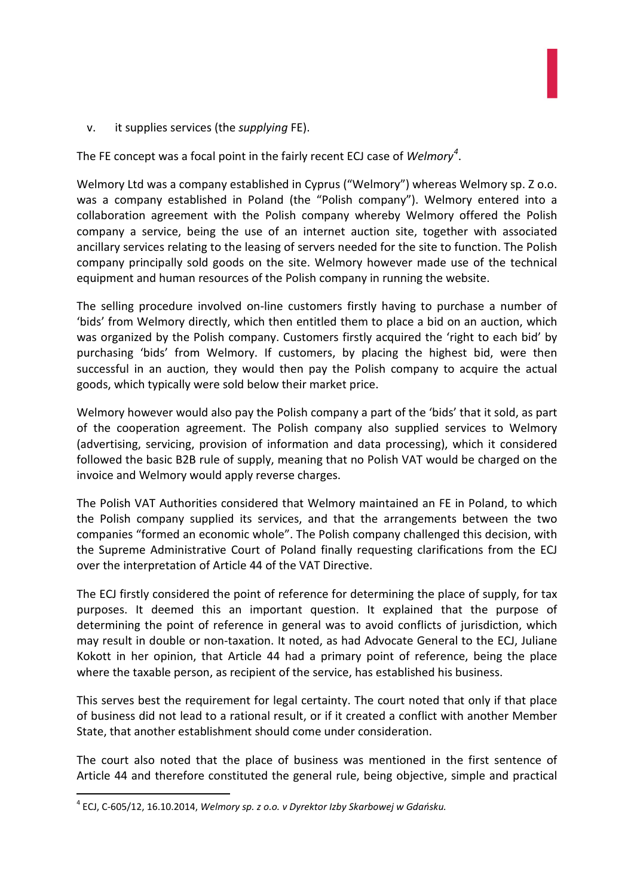v. it supplies services (the *supplying* FE).

The FE concept was a focal point in the fairly recent ECJ case of *Welmory[4](#page-1-0)* .

Welmory Ltd was a company established in Cyprus ("Welmory") whereas Welmory sp. Z o.o. was a company established in Poland (the "Polish company"). Welmory entered into a collaboration agreement with the Polish company whereby Welmory offered the Polish company a service, being the use of an internet auction site, together with associated ancillary services relating to the leasing of servers needed for the site to function. The Polish company principally sold goods on the site. Welmory however made use of the technical equipment and human resources of the Polish company in running the website.

The selling procedure involved on-line customers firstly having to purchase a number of 'bids' from Welmory directly, which then entitled them to place a bid on an auction, which was organized by the Polish company. Customers firstly acquired the 'right to each bid' by purchasing 'bids' from Welmory. If customers, by placing the highest bid, were then successful in an auction, they would then pay the Polish company to acquire the actual goods, which typically were sold below their market price.

Welmory however would also pay the Polish company a part of the 'bids' that it sold, as part of the cooperation agreement. The Polish company also supplied services to Welmory (advertising, servicing, provision of information and data processing), which it considered followed the basic B2B rule of supply, meaning that no Polish VAT would be charged on the invoice and Welmory would apply reverse charges.

The Polish VAT Authorities considered that Welmory maintained an FE in Poland, to which the Polish company supplied its services, and that the arrangements between the two companies "formed an economic whole". The Polish company challenged this decision, with the Supreme Administrative Court of Poland finally requesting clarifications from the ECJ over the interpretation of Article 44 of the VAT Directive.

The ECJ firstly considered the point of reference for determining the place of supply, for tax purposes. It deemed this an important question. It explained that the purpose of determining the point of reference in general was to avoid conflicts of jurisdiction, which may result in double or non-taxation. It noted, as had Advocate General to the ECJ, Juliane Kokott in her opinion, that Article 44 had a primary point of reference, being the place where the taxable person, as recipient of the service, has established his business.

This serves best the requirement for legal certainty. The court noted that only if that place of business did not lead to a rational result, or if it created a conflict with another Member State, that another establishment should come under consideration.

The court also noted that the place of business was mentioned in the first sentence of Article 44 and therefore constituted the general rule, being objective, simple and practical

<span id="page-1-0"></span> <sup>4</sup> ECJ, C-605/12, 16.10.2014, *Welmory sp. z o.o. v Dyrektor Izby Skarbowej w Gdańsku.*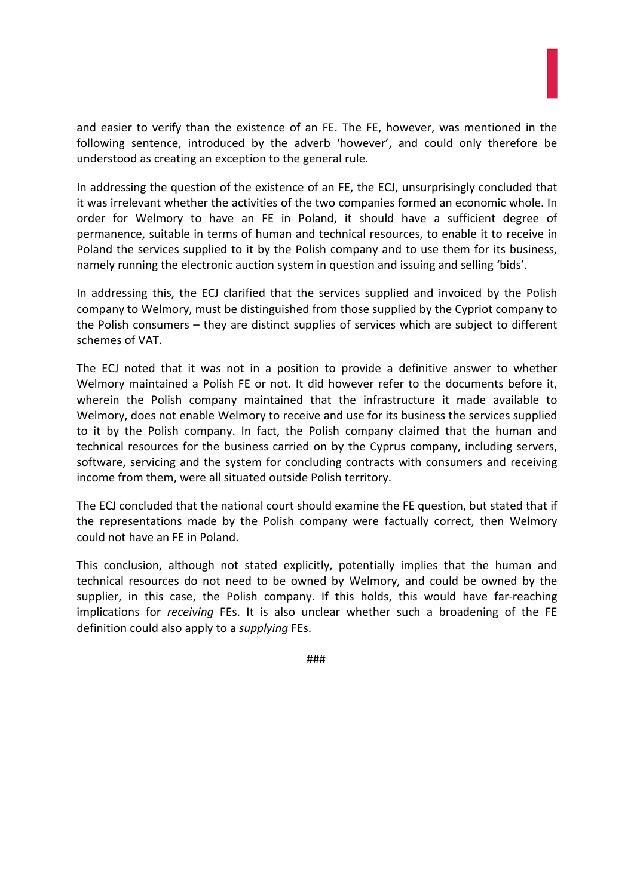and easier to verify than the existence of an FE. The FE, however, was mentioned in the following sentence, introduced by the adverb 'however', and could only therefore be understood as creating an exception to the general rule.

In addressing the question of the existence of an FE, the ECJ, unsurprisingly concluded that it was irrelevant whether the activities of the two companies formed an economic whole. In order for Welmory to have an FE in Poland, it should have a sufficient degree of permanence, suitable in terms of human and technical resources, to enable it to receive in Poland the services supplied to it by the Polish company and to use them for its business, namely running the electronic auction system in question and issuing and selling 'bids'.

In addressing this, the ECJ clarified that the services supplied and invoiced by the Polish company to Welmory, must be distinguished from those supplied by the Cypriot company to the Polish consumers – they are distinct supplies of services which are subject to different schemes of VAT.

The ECJ noted that it was not in a position to provide a definitive answer to whether Welmory maintained a Polish FE or not. It did however refer to the documents before it, wherein the Polish company maintained that the infrastructure it made available to Welmory, does not enable Welmory to receive and use for its business the services supplied to it by the Polish company. In fact, the Polish company claimed that the human and technical resources for the business carried on by the Cyprus company, including servers, software, servicing and the system for concluding contracts with consumers and receiving income from them, were all situated outside Polish territory.

The ECJ concluded that the national court should examine the FE question, but stated that if the representations made by the Polish company were factually correct, then Welmory could not have an FE in Poland.

This conclusion, although not stated explicitly, potentially implies that the human and technical resources do not need to be owned by Welmory, and could be owned by the supplier, in this case, the Polish company. If this holds, this would have far-reaching implications for *receiving* FEs. It is also unclear whether such a broadening of the FE definition could also apply to a *supplying* FEs.

###